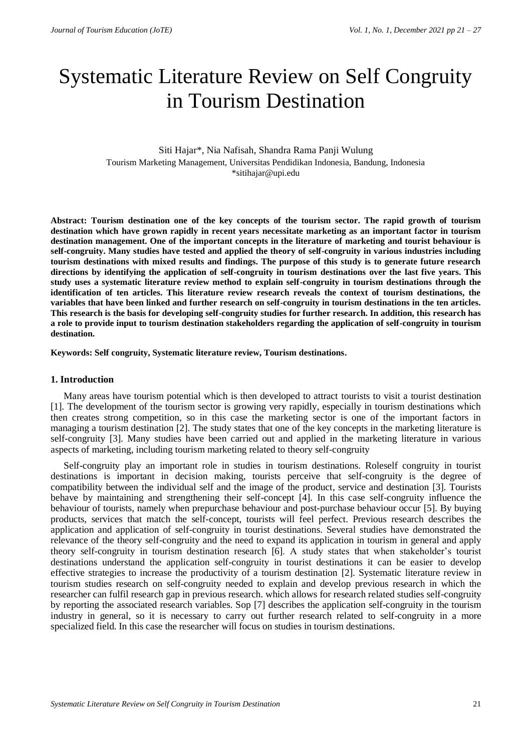# Systematic Literature Review on Self Congruity in Tourism Destination

## Siti Hajar\*, Nia Nafisah, Shandra Rama Panji Wulung Tourism Marketing Management, Universitas Pendidikan Indonesia, Bandung, Indonesia \*sitihajar@upi.edu

**Abstract: Tourism destination one of the key concepts of the tourism sector. The rapid growth of tourism destination which have grown rapidly in recent years necessitate marketing as an important factor in tourism destination management. One of the important concepts in the literature of marketing and tourist behaviour is self-congruity. Many studies have tested and applied the theory of self-congruity in various industries including tourism destinations with mixed results and findings. The purpose of this study is to generate future research directions by identifying the application of self-congruity in tourism destinations over the last five years. This study uses a systematic literature review method to explain self-congruity in tourism destinations through the identification of ten articles. This literature review research reveals the context of tourism destinations, the variables that have been linked and further research on self-congruity in tourism destinations in the ten articles. This research is the basis for developing self-congruity studies for further research. In addition, this research has a role to provide input to tourism destination stakeholders regarding the application of self-congruity in tourism destination.**

**Keywords: Self congruity, Systematic literature review, Tourism destinations.**

#### **1. Introduction**

Many areas have tourism potential which is then developed to attract tourists to visit a tourist destination [1]. The development of the tourism sector is growing very rapidly, especially in tourism destinations which then creates strong competition, so in this case the marketing sector is one of the important factors in managing a tourism destination [2]. The study states that one of the key concepts in the marketing literature is self-congruity [3]. Many studies have been carried out and applied in the marketing literature in various aspects of marketing, including tourism marketing related to theory self-congruity

Self-congruity play an important role in studies in tourism destinations. Roleself congruity in tourist destinations is important in decision making, tourists perceive that self-congruity is the degree of compatibility between the individual self and the image of the product, service and destination [3]. Tourists behave by maintaining and strengthening their self-concept [4]. In this case self-congruity influence the behaviour of tourists, namely when prepurchase behaviour and post-purchase behaviour occur [5]. By buying products, services that match the self-concept, tourists will feel perfect. Previous research describes the application and application of self-congruity in tourist destinations. Several studies have demonstrated the relevance of the theory self-congruity and the need to expand its application in tourism in general and apply theory self-congruity in tourism destination research [6]. A study states that when stakeholder's tourist destinations understand the application self-congruity in tourist destinations it can be easier to develop effective strategies to increase the productivity of a tourism destination [2]. Systematic literature review in tourism studies research on self-congruity needed to explain and develop previous research in which the researcher can fulfil research gap in previous research. which allows for research related studies self-congruity by reporting the associated research variables. Sop [7] describes the application self-congruity in the tourism industry in general, so it is necessary to carry out further research related to self-congruity in a more specialized field. In this case the researcher will focus on studies in tourism destinations.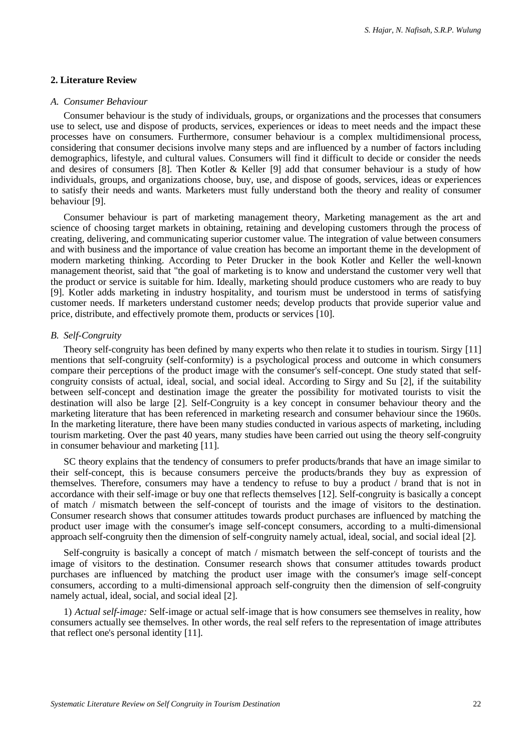## **2. Literature Review**

#### *A. Consumer Behaviour*

Consumer behaviour is the study of individuals, groups, or organizations and the processes that consumers use to select, use and dispose of products, services, experiences or ideas to meet needs and the impact these processes have on consumers. Furthermore, consumer behaviour is a complex multidimensional process, considering that consumer decisions involve many steps and are influenced by a number of factors including demographics, lifestyle, and cultural values. Consumers will find it difficult to decide or consider the needs and desires of consumers [8]. Then Kotler & Keller [9] add that consumer behaviour is a study of how individuals, groups, and organizations choose, buy, use, and dispose of goods, services, ideas or experiences to satisfy their needs and wants. Marketers must fully understand both the theory and reality of consumer behaviour [9].

Consumer behaviour is part of marketing management theory, Marketing management as the art and science of choosing target markets in obtaining, retaining and developing customers through the process of creating, delivering, and communicating superior customer value. The integration of value between consumers and with business and the importance of value creation has become an important theme in the development of modern marketing thinking. According to Peter Drucker in the book Kotler and Keller the well-known management theorist, said that "the goal of marketing is to know and understand the customer very well that the product or service is suitable for him. Ideally, marketing should produce customers who are ready to buy [9]. Kotler adds marketing in industry hospitality, and tourism must be understood in terms of satisfying customer needs. If marketers understand customer needs; develop products that provide superior value and price, distribute, and effectively promote them, products or services [10].

## *B. Self-Congruity*

Theory self-congruity has been defined by many experts who then relate it to studies in tourism. Sirgy [11] mentions that self-congruity (self-conformity) is a psychological process and outcome in which consumers compare their perceptions of the product image with the consumer's self-concept. One study stated that selfcongruity consists of actual, ideal, social, and social ideal. According to Sirgy and Su [2], if the suitability between self-concept and destination image the greater the possibility for motivated tourists to visit the destination will also be large [2]. Self-Congruity is a key concept in consumer behaviour theory and the marketing literature that has been referenced in marketing research and consumer behaviour since the 1960s. In the marketing literature, there have been many studies conducted in various aspects of marketing, including tourism marketing. Over the past 40 years, many studies have been carried out using the theory self-congruity in consumer behaviour and marketing [11].

SC theory explains that the tendency of consumers to prefer products/brands that have an image similar to their self-concept, this is because consumers perceive the products/brands they buy as expression of themselves. Therefore, consumers may have a tendency to refuse to buy a product / brand that is not in accordance with their self-image or buy one that reflects themselves [12]. Self-congruity is basically a concept of match / mismatch between the self-concept of tourists and the image of visitors to the destination. Consumer research shows that consumer attitudes towards product purchases are influenced by matching the product user image with the consumer's image self-concept consumers, according to a multi-dimensional approach self-congruity then the dimension of self-congruity namely actual, ideal, social, and social ideal [2].

Self-congruity is basically a concept of match / mismatch between the self-concept of tourists and the image of visitors to the destination. Consumer research shows that consumer attitudes towards product purchases are influenced by matching the product user image with the consumer's image self-concept consumers, according to a multi-dimensional approach self-congruity then the dimension of self-congruity namely actual, ideal, social, and social ideal [2].

1) *Actual self-image:* Self-image or actual self-image that is how consumers see themselves in reality, how consumers actually see themselves. In other words, the real self refers to the representation of image attributes that reflect one's personal identity [11].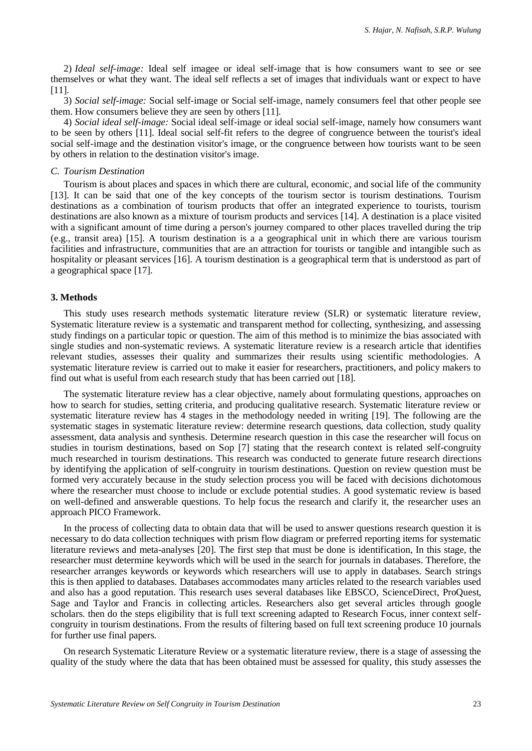2) *Ideal self-image:* Ideal self imagee or ideal self-image that is how consumers want to see or see themselves or what they want. The ideal self reflects a set of images that individuals want or expect to have [11].

3) *Social self-image:* Social self-image or Social self-image, namely consumers feel that other people see them. How consumers believe they are seen by others [11].

4) *Social ideal self-image:* Social ideal self-image or ideal social self-image, namely how consumers want to be seen by others [11]. Ideal social self-fit refers to the degree of congruence between the tourist's ideal social self-image and the destination visitor's image, or the congruence between how tourists want to be seen by others in relation to the destination visitor's image.

## *C. Tourism Destination*

Tourism is about places and spaces in which there are cultural, economic, and social life of the community [13]. It can be said that one of the key concepts of the tourism sector is tourism destinations. Tourism destinations as a combination of tourism products that offer an integrated experience to tourists, tourism destinations are also known as a mixture of tourism products and services [14]. A destination is a place visited with a significant amount of time during a person's journey compared to other places travelled during the trip (e.g., transit area) [15]. A tourism destination is a a geographical unit in which there are various tourism facilities and infrastructure, communities that are an attraction for tourists or tangible and intangible such as hospitality or pleasant services [16]. A tourism destination is a geographical term that is understood as part of a geographical space [17].

#### **3. Methods**

This study uses research methods systematic literature review (SLR) or systematic literature review, Systematic literature review is a systematic and transparent method for collecting, synthesizing, and assessing study findings on a particular topic or question. The aim of this method is to minimize the bias associated with single studies and non-systematic reviews. A systematic literature review is a research article that identifies relevant studies, assesses their quality and summarizes their results using scientific methodologies. A systematic literature review is carried out to make it easier for researchers, practitioners, and policy makers to find out what is useful from each research study that has been carried out [18].

The systematic literature review has a clear objective, namely about formulating questions, approaches on how to search for studies, setting criteria, and producing qualitative research. Systematic literature review or systematic literature review has 4 stages in the methodology needed in writing [19]. The following are the systematic stages in systematic literature review: determine research questions, data collection, study quality assessment, data analysis and synthesis. Determine research question in this case the researcher will focus on studies in tourism destinations, based on Sop [7] stating that the research context is related self-congruity much researched in tourism destinations. This research was conducted to generate future research directions by identifying the application of self-congruity in tourism destinations. Question on review question must be formed very accurately because in the study selection process you will be faced with decisions dichotomous where the researcher must choose to include or exclude potential studies. A good systematic review is based on well-defined and answerable questions. To help focus the research and clarify it, the researcher uses an approach PICO Framework.

In the process of collecting data to obtain data that will be used to answer questions research question it is necessary to do data collection techniques with prism flow diagram or preferred reporting items for systematic literature reviews and meta-analyses [20]. The first step that must be done is identification, In this stage, the researcher must determine keywords which will be used in the search for journals in databases. Therefore, the researcher arranges keywords or keywords which researchers will use to apply in databases. Search strings this is then applied to databases. Databases accommodates many articles related to the research variables used and also has a good reputation. This research uses several databases like EBSCO, ScienceDirect, ProQuest, Sage and Taylor and Francis in collecting articles. Researchers also get several articles through google scholars. then do the steps eligibility that is full text screening adapted to Research Focus, inner context selfcongruity in tourism destinations. From the results of filtering based on full text screening produce 10 journals for further use final papers.

On research Systematic Literature Review or a systematic literature review, there is a stage of assessing the quality of the study where the data that has been obtained must be assessed for quality, this study assesses the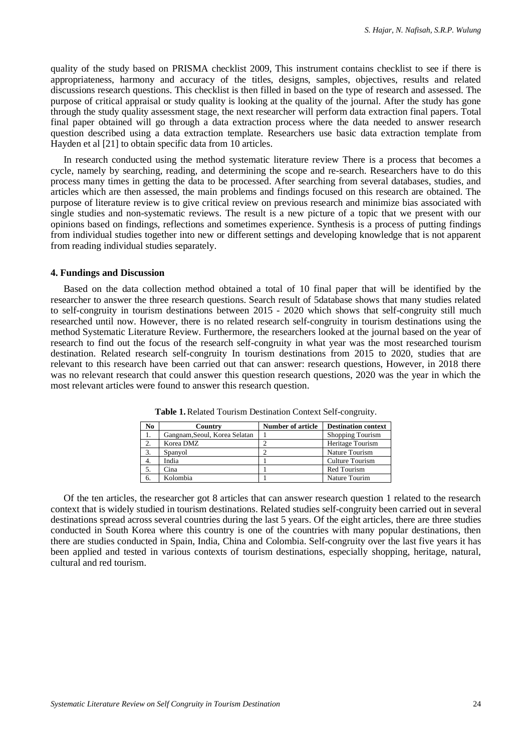quality of the study based on PRISMA checklist 2009, This instrument contains checklist to see if there is appropriateness, harmony and accuracy of the titles, designs, samples, objectives, results and related discussions research questions. This checklist is then filled in based on the type of research and assessed. The purpose of critical appraisal or study quality is looking at the quality of the journal. After the study has gone through the study quality assessment stage, the next researcher will perform data extraction final papers. Total final paper obtained will go through a data extraction process where the data needed to answer research question described using a data extraction template. Researchers use basic data extraction template from Hayden et al [21] to obtain specific data from 10 articles.

In research conducted using the method systematic literature review There is a process that becomes a cycle, namely by searching, reading, and determining the scope and re-search. Researchers have to do this process many times in getting the data to be processed. After searching from several databases, studies, and articles which are then assessed, the main problems and findings focused on this research are obtained. The purpose of literature review is to give critical review on previous research and minimize bias associated with single studies and non-systematic reviews. The result is a new picture of a topic that we present with our opinions based on findings, reflections and sometimes experience. Synthesis is a process of putting findings from individual studies together into new or different settings and developing knowledge that is not apparent from reading individual studies separately.

#### **4. Fundings and Discussion**

Based on the data collection method obtained a total of 10 final paper that will be identified by the researcher to answer the three research questions. Search result of 5database shows that many studies related to self-congruity in tourism destinations between 2015 - 2020 which shows that self-congruity still much researched until now. However, there is no related research self-congruity in tourism destinations using the method Systematic Literature Review. Furthermore, the researchers looked at the journal based on the year of research to find out the focus of the research self-congruity in what year was the most researched tourism destination. Related research self-congruity In tourism destinations from 2015 to 2020, studies that are relevant to this research have been carried out that can answer: research questions, However, in 2018 there was no relevant research that could answer this question research questions, 2020 was the year in which the most relevant articles were found to answer this research question.

| No. | Country                       | <b>Number of article</b> | <b>Destination context</b> |
|-----|-------------------------------|--------------------------|----------------------------|
|     | Gangnam, Seoul, Korea Selatan |                          | Shopping Tourism           |
| 2.  | Korea DMZ                     |                          | Heritage Tourism           |
| 3.  | Spanyol                       |                          | Nature Tourism             |
| 4.  | India                         |                          | Culture Tourism            |
|     | Cina                          |                          | <b>Red Tourism</b>         |
|     | Kolombia                      |                          | Nature Tourim              |

**Table 1.**Related Tourism Destination Context Self-congruity.

Of the ten articles, the researcher got 8 articles that can answer research question 1 related to the research context that is widely studied in tourism destinations. Related studies self-congruity been carried out in several destinations spread across several countries during the last 5 years. Of the eight articles, there are three studies conducted in South Korea where this country is one of the countries with many popular destinations, then there are studies conducted in Spain, India, China and Colombia. Self-congruity over the last five years it has been applied and tested in various contexts of tourism destinations, especially shopping, heritage, natural, cultural and red tourism.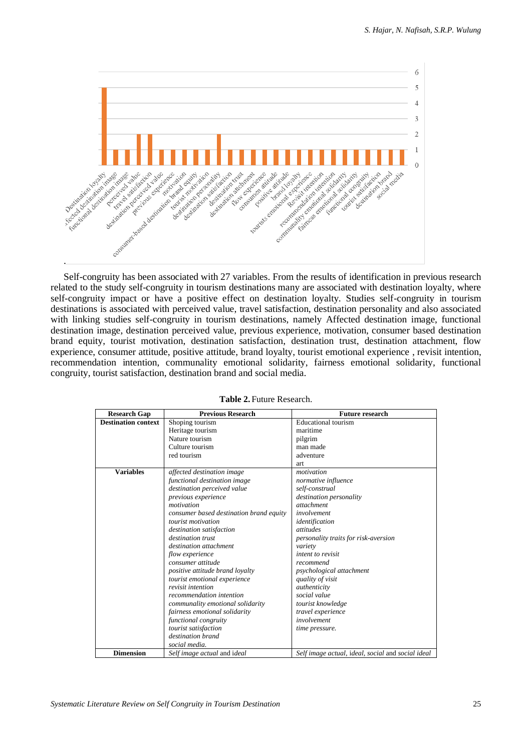

Self-congruity has been associated with 27 variables. From the results of identification in previous research related to the study self-congruity in tourism destinations many are associated with destination loyalty, where self-congruity impact or have a positive effect on destination loyalty. Studies self-congruity in tourism destinations is associated with perceived value, travel satisfaction, destination personality and also associated with linking studies self-congruity in tourism destinations, namely Affected destination image, functional destination image, destination perceived value, previous experience, motivation, consumer based destination brand equity, tourist motivation, destination satisfaction, destination trust, destination attachment, flow experience, consumer attitude, positive attitude, brand loyalty, tourist emotional experience , revisit intention, recommendation intention, communality emotional solidarity, fairness emotional solidarity, functional congruity, tourist satisfaction, destination brand and social media.

| <b>Research Gap</b>        | <b>Previous Research</b>                | <b>Future research</b>                            |
|----------------------------|-----------------------------------------|---------------------------------------------------|
| <b>Destination context</b> | Shoping tourism                         | Educational tourism                               |
|                            | Heritage tourism                        | maritime                                          |
|                            | Nature tourism                          | pilgrim                                           |
|                            | Culture tourism                         | man made                                          |
|                            | red tourism                             | adventure                                         |
|                            |                                         | art.                                              |
| <b>Variables</b>           | affected destination image              | motivation                                        |
|                            | functional destination image            | normative influence                               |
|                            | destination perceived value             | self-construal                                    |
|                            | previous experience                     | destination personality                           |
|                            | motivation                              | attachment                                        |
|                            | consumer based destination brand equity | involvement                                       |
|                            | tourist motivation                      | identification                                    |
|                            | destination satisfaction                | attitudes                                         |
|                            | destination trust                       | personality traits for risk-aversion              |
|                            | destination attachment                  | variety                                           |
|                            | flow experience                         | intent to revisit                                 |
|                            | consumer attitude                       | recommend                                         |
|                            | positive attitude brand loyalty         | psychological attachment                          |
|                            | tourist emotional experience            | quality of visit                                  |
|                            | revisit intention                       | authenticity                                      |
|                            | recommendation intention                | social value                                      |
|                            | communality emotional solidarity        | tourist knowledge                                 |
|                            | fairness emotional solidarity           | travel experience                                 |
|                            | functional congruity                    | involvement                                       |
|                            | tourist satisfaction                    | time pressure.                                    |
|                            | destination brand                       |                                                   |
|                            | social media.                           |                                                   |
| <b>Dimension</b>           | Self image actual and ideal             | Self image actual, ideal, social and social ideal |

|  |  | <b>Table 2. Future Research.</b> |
|--|--|----------------------------------|
|--|--|----------------------------------|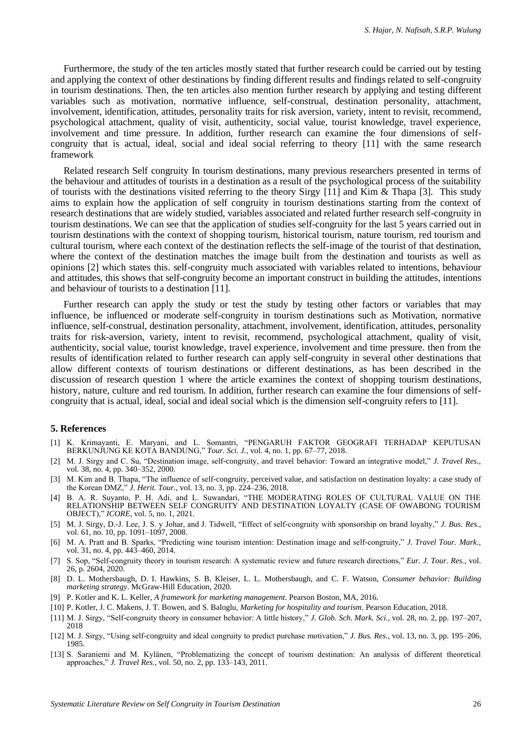Furthermore, the study of the ten articles mostly stated that further research could be carried out by testing and applying the context of other destinations by finding different results and findings related to self-congruity in tourism destinations. Then, the ten articles also mention further research by applying and testing different variables such as motivation, normative influence, self-construal, destination personality, attachment, involvement, identification, attitudes, personality traits for risk aversion, variety, intent to revisit, recommend, psychological attachment, quality of visit, authenticity, social value, tourist knowledge, travel experience, involvement and time pressure. In addition, further research can examine the four dimensions of selfcongruity that is actual, ideal, social and ideal social referring to theory [11] with the same research framework

Related research Self congruity In tourism destinations, many previous researchers presented in terms of the behaviour and attitudes of tourists in a destination as a result of the psychological process of the suitability of tourists with the destinations visited referring to the theory Sirgy [11] and Kim & Thapa [3]. This study aims to explain how the application of self congruity in tourism destinations starting from the context of research destinations that are widely studied, variables associated and related further research self-congruity in tourism destinations. We can see that the application of studies self-congruity for the last 5 years carried out in tourism destinations with the context of shopping tourism, historical tourism, nature tourism, red tourism and cultural tourism, where each context of the destination reflects the self-image of the tourist of that destination, where the context of the destination matches the image built from the destination and tourists as well as opinions [2] which states this. self-congruity much associated with variables related to intentions, behaviour and attitudes, this shows that self-congruity become an important construct in building the attitudes, intentions and behaviour of tourists to a destination [11].

Further research can apply the study or test the study by testing other factors or variables that may influence, be influenced or moderate self-congruity in tourism destinations such as Motivation, normative influence, self-construal, destination personality, attachment, involvement, identification, attitudes, personality traits for risk-aversion, variety, intent to revisit, recommend, psychological attachment, quality of visit, authenticity, social value, tourist knowledge, travel experience, involvement and time pressure. then from the results of identification related to further research can apply self-congruity in several other destinations that allow different contexts of tourism destinations or different destinations, as has been described in the discussion of research question 1 where the article examines the context of shopping tourism destinations, history, nature, culture and red tourism. In addition, further research can examine the four dimensions of selfcongruity that is actual, ideal, social and ideal social which is the dimension self-congruity refers to [11].

#### **5. References**

- [1] K. Krimayanti, E. Maryani, and L. Somantri, "PENGARUH FAKTOR GEOGRAFI TERHADAP KEPUTUSAN BERKUNJUNG KE KOTA BANDUNG," *Tour. Sci. J.*, vol. 4, no. 1, pp. 67–77, 2018.
- [2] M. J. Sirgy and C. Su, "Destination image, self-congruity, and travel behavior: Toward an integrative model," *J. Travel Res.*, vol. 38, no. 4, pp. 340–352, 2000.
- [3] M. Kim and B. Thapa, "The influence of self-congruity, perceived value, and satisfaction on destination loyalty: a case study of the Korean DMZ," *J. Herit. Tour.*, vol. 13, no. 3, pp. 224–236, 2018.
- [4] B. A. R. Suyanto, P. H. Adi, and L. Suwandari, "THE MODERATING ROLES OF CULTURAL VALUE ON THE RELATIONSHIP BETWEEN SELF CONGRUITY AND DESTINATION LOYALTY (CASE OF OWABONG TOURISM OBJECT)," *ICORE*, vol. 5, no. 1, 2021.
- [5] M. J. Sirgy, D.-J. Lee, J. S. y Johar, and J. Tidwell, "Effect of self-congruity with sponsorship on brand loyalty," *J. Bus. Res.*, vol. 61, no. 10, pp. 1091-1097, 2008.
- [6] M. A. Pratt and B. Sparks, "Predicting wine tourism intention: Destination image and self-congruity," *J. Travel Tour. Mark.*, vol. 31, no. 4, pp. 443–460, 2014.
- [7] S. Sop, "Self-congruity theory in tourism research: A systematic review and future research directions," *Eur. J. Tour. Res.*, vol. 26, p. 2604, 2020.
- [8] D. L. Mothersbaugh, D. I. Hawkins, S. B. Kleiser, L. L. Mothersbaugh, and C. F. Watson, *Consumer behavior: Building marketing strategy*. McGraw-Hill Education, 2020.
- [9] P. Kotler and K. L. Keller, *A framework for marketing management*. Pearson Boston, MA, 2016.
- [10] P. Kotler, J. C. Makens, J. T. Bowen, and S. Baloglu, *Marketing for hospitality and tourism*. Pearson Education, 2018.
- [11] M. J. Sirgy, "Self-congruity theory in consumer behavior: A little history," *J. Glob. Sch. Mark. Sci.*, vol. 28, no. 2, pp. 197–207, 2018
- [12] M. J. Sirgy, "Using self-congruity and ideal congruity to predict purchase motivation," *J. Bus. Res.*, vol. 13, no. 3, pp. 195–206, 1985.
- [13] S. Saraniemi and M. Kylänen, "Problematizing the concept of tourism destination: An analysis of different theoretical approaches," *J. Travel Res.*, vol. 50, no. 2, pp. 133–143, 2011.